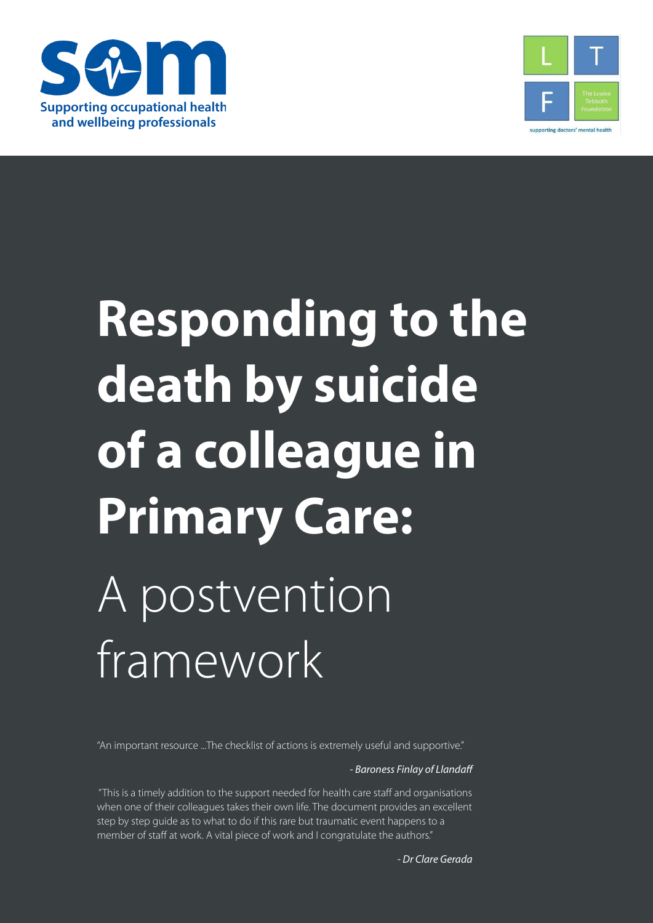



# **Responding to the death by suicide of a colleague in Primary Care:** A postvention framework

"An important resource ...The checklist of actions is extremely useful and supportive."

*- Baroness Finlay of Llandaff*

 "This is a timely addition to the support needed for health care staff and organisations when one of their colleagues takes their own life. The document provides an excellent step by step guide as to what to do if this rare but traumatic event happens to a member of staff at work. A vital piece of work and I congratulate the authors."

*- Dr Clare Gerada*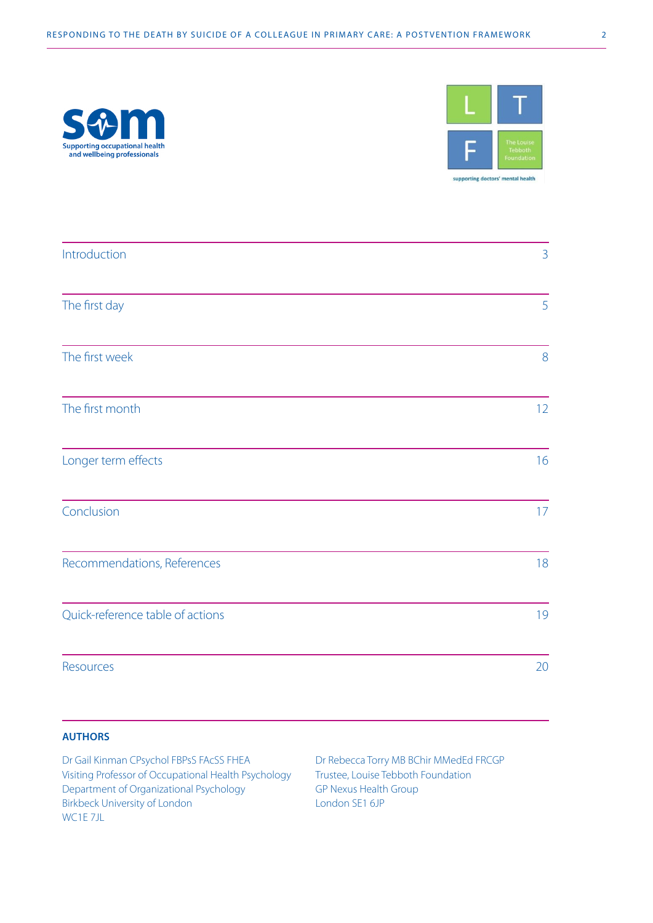



| Introduction                     | $\overline{3}$ |
|----------------------------------|----------------|
| The first day                    | 5              |
| The first week                   | 8              |
| The first month                  | 12             |
| Longer term effects              | 16             |
| Conclusion                       | 17             |
| Recommendations, References      | 18             |
| Quick-reference table of actions | 19             |
| Resources                        | 20             |

#### **AUTHORS**

| Dr Gail Kinman CPsychol FBPsS FAcSS FHEA             | Dr Rebecca Torry MB BChir MMedEd FRCGP |
|------------------------------------------------------|----------------------------------------|
| Visiting Professor of Occupational Health Psychology | Trustee, Louise Tebboth Foundation     |
| Department of Organizational Psychology              | GP Nexus Health Group                  |
| Birkbeck University of London                        | London SE1 6JP                         |
| WC1E 7JL                                             |                                        |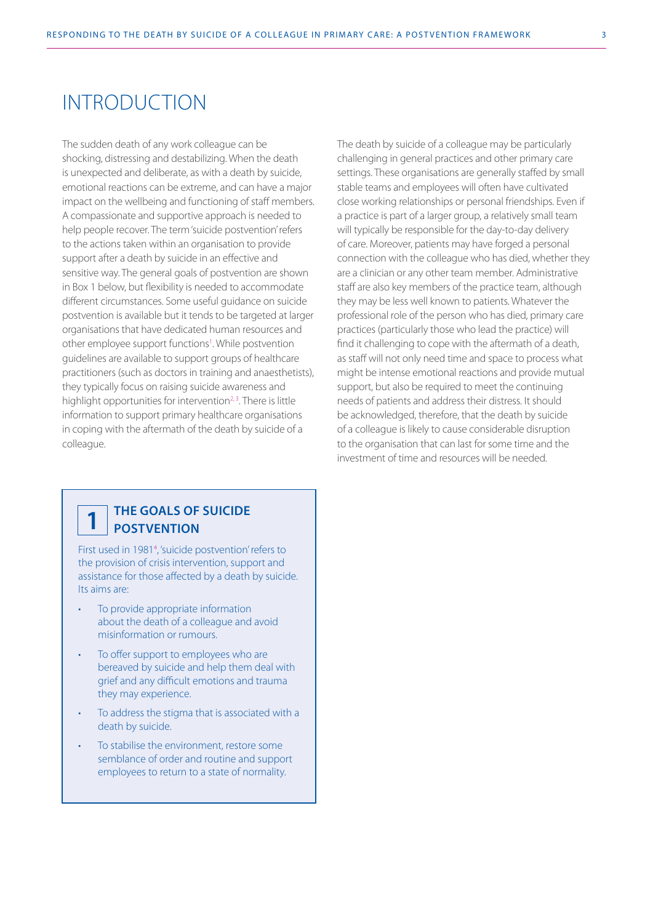## INTRODUCTION

The sudden death of any work colleague can be shocking, distressing and destabilizing. When the death is unexpected and deliberate, as with a death by suicide, emotional reactions can be extreme, and can have a major impact on the wellbeing and functioning of staff members. A compassionate and supportive approach is needed to help people recover. The term 'suicide postvention' refers to the actions taken within an organisation to provide support after a death by suicide in an effective and sensitive way. The general goals of postvention are shown in Box 1 below, but flexibility is needed to accommodate different circumstances. Some useful guidance on suicide postvention is available but it tends to be targeted at larger organisations that have dedicated human resources and other employee support functions<sup>1</sup>. While postvention guidelines are available to support groups of healthcare practitioners (such as doctors in training and anaesthetists), they typically focus on raising suicide awareness and highlight opportunities for intervention<sup>2,3</sup>. There is little information to support primary healthcare organisations in coping with the aftermath of the death by suicide of a colleague.

The death by suicide of a colleague may be particularly challenging in general practices and other primary care settings. These organisations are generally staffed by small stable teams and employees will often have cultivated close working relationships or personal friendships. Even if a practice is part of a larger group, a relatively small team will typically be responsible for the day-to-day delivery of care. Moreover, patients may have forged a personal connection with the colleague who has died, whether they are a clinician or any other team member. Administrative staff are also key members of the practice team, although they may be less well known to patients. Whatever the professional role of the person who has died, primary care practices (particularly those who lead the practice) will find it challenging to cope with the aftermath of a death, as staff will not only need time and space to process what might be intense emotional reactions and provide mutual support, but also be required to meet the continuing needs of patients and address their distress. It should be acknowledged, therefore, that the death by suicide of a colleague is likely to cause considerable disruption to the organisation that can last for some time and the investment of time and resources will be needed.

## **1**

#### **THE GOALS OF SUICIDE POSTVENTION**

First used in 1981<sup>4</sup>, 'suicide postvention' refers to the provision of crisis intervention, support and assistance for those affected by a death by suicide. Its aims are:

- To provide appropriate information about the death of a colleague and avoid misinformation or rumours.
- To offer support to employees who are bereaved by suicide and help them deal with grief and any difficult emotions and trauma they may experience.
- To address the stigma that is associated with a death by suicide.
- To stabilise the environment, restore some semblance of order and routine and support employees to return to a state of normality.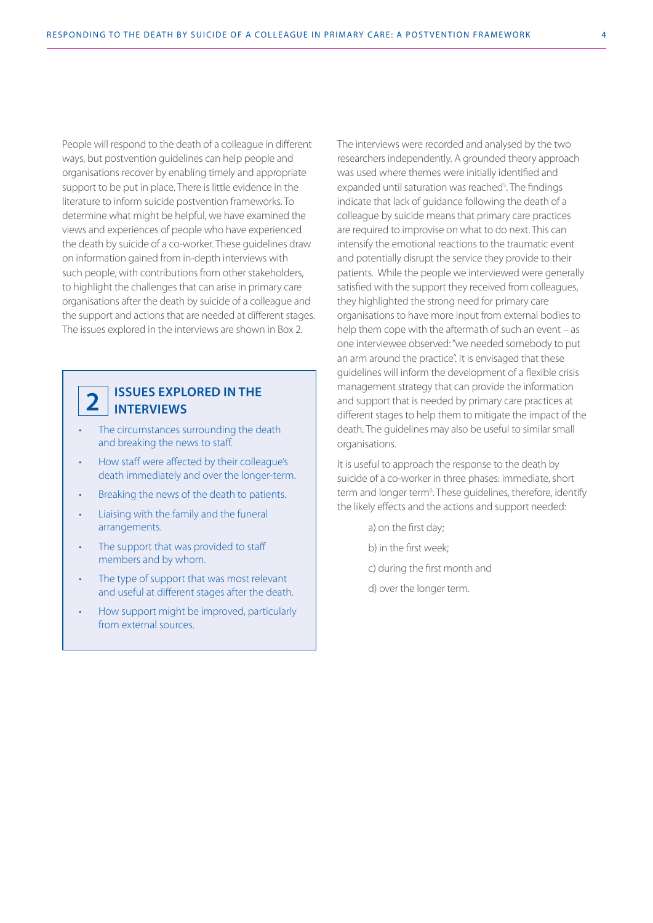People will respond to the death of a colleague in different ways, but postvention guidelines can help people and organisations recover by enabling timely and appropriate support to be put in place. There is little evidence in the literature to inform suicide postvention frameworks. To determine what might be helpful, we have examined the views and experiences of people who have experienced the death by suicide of a co-worker. These guidelines draw on information gained from in-depth interviews with such people, with contributions from other stakeholders, to highlight the challenges that can arise in primary care organisations after the death by suicide of a colleague and the support and actions that are needed at different stages. The issues explored in the interviews are shown in Box 2.

#### **ISSUES EXPLORED IN THE INTERVIEWS**

**2**

- The circumstances surrounding the death and breaking the news to staff.
- How staff were affected by their colleague's death immediately and over the longer-term.
- Breaking the news of the death to patients.
- Liaising with the family and the funeral arrangements.
- The support that was provided to staff members and by whom.
- The type of support that was most relevant and useful at different stages after the death.
- How support might be improved, particularly from external sources.

The interviews were recorded and analysed by the two researchers independently. A grounded theory approach was used where themes were initially identified and expanded until saturation was reached<sup>5</sup>. The findings indicate that lack of guidance following the death of a colleague by suicide means that primary care practices are required to improvise on what to do next. This can intensify the emotional reactions to the traumatic event and potentially disrupt the service they provide to their patients. While the people we interviewed were generally satisfied with the support they received from colleagues, they highlighted the strong need for primary care organisations to have more input from external bodies to help them cope with the aftermath of such an event – as one interviewee observed: "we needed somebody to put an arm around the practice". It is envisaged that these guidelines will inform the development of a flexible crisis management strategy that can provide the information and support that is needed by primary care practices at different stages to help them to mitigate the impact of the death. The guidelines may also be useful to similar small organisations.

It is useful to approach the response to the death by suicide of a co-worker in three phases: immediate, short term and longer term<sup>6</sup>. These guidelines, therefore, identify the likely effects and the actions and support needed:

- a) on the first day;
- b) in the first week;
- c) during the first month and
- d) over the longer term.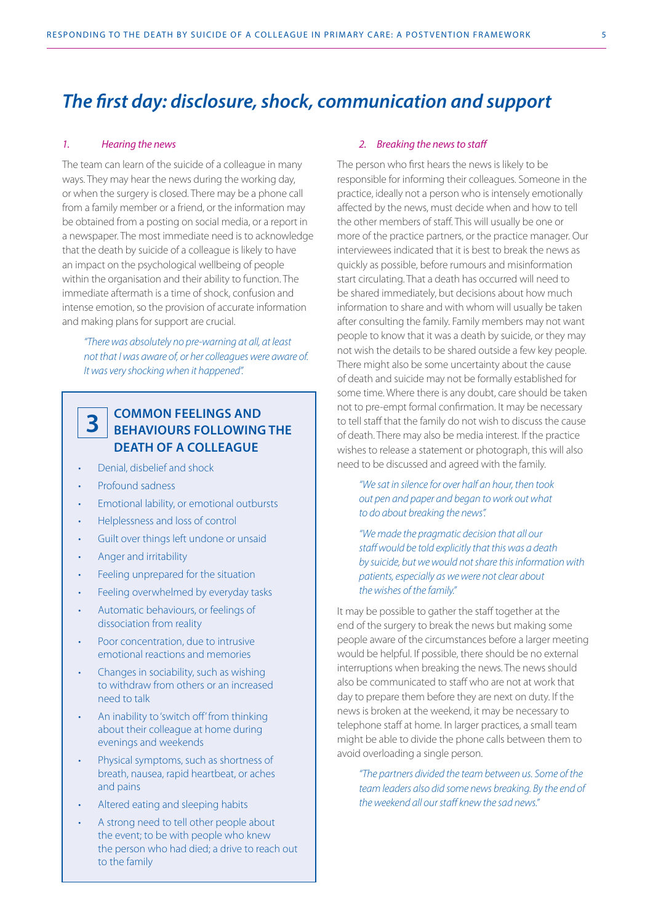## *The first day: disclosure, shock, communication and support*

#### *1. Hearing the news*

The team can learn of the suicide of a colleague in many ways. They may hear the news during the working day, or when the surgery is closed. There may be a phone call from a family member or a friend, or the information may be obtained from a posting on social media, or a report in a newspaper. The most immediate need is to acknowledge that the death by suicide of a colleague is likely to have an impact on the psychological wellbeing of people within the organisation and their ability to function. The immediate aftermath is a time of shock, confusion and intense emotion, so the provision of accurate information and making plans for support are crucial.

*"There was absolutely no pre-warning at all, at least not that I was aware of, or her colleagues were aware of. It was very shocking when it happened".*

#### **COMMON FEELINGS AND BEHAVIOURS FOLLOWING THE DEATH OF A COLLEAGUE 3**

- Denial, disbelief and shock
- Profound sadness
- Emotional lability, or emotional outbursts
- Helplessness and loss of control
- Guilt over things left undone or unsaid
- Anger and irritability
- Feeling unprepared for the situation
- Feeling overwhelmed by everyday tasks
- Automatic behaviours, or feelings of dissociation from reality
- Poor concentration, due to intrusive emotional reactions and memories
- Changes in sociability, such as wishing to withdraw from others or an increased need to talk
- An inability to 'switch off' from thinking about their colleague at home during evenings and weekends
- Physical symptoms, such as shortness of breath, nausea, rapid heartbeat, or aches and pains
- Altered eating and sleeping habits
- A strong need to tell other people about the event; to be with people who knew the person who had died; a drive to reach out to the family

#### *2. Breaking the news to staff*

The person who first hears the news is likely to be responsible for informing their colleagues. Someone in the practice, ideally not a person who is intensely emotionally affected by the news, must decide when and how to tell the other members of staff. This will usually be one or more of the practice partners, or the practice manager. Our interviewees indicated that it is best to break the news as quickly as possible, before rumours and misinformation start circulating. That a death has occurred will need to be shared immediately, but decisions about how much information to share and with whom will usually be taken after consulting the family. Family members may not want people to know that it was a death by suicide, or they may not wish the details to be shared outside a few key people. There might also be some uncertainty about the cause of death and suicide may not be formally established for some time. Where there is any doubt, care should be taken not to pre-empt formal confirmation. It may be necessary to tell staff that the family do not wish to discuss the cause of death. There may also be media interest. If the practice wishes to release a statement or photograph, this will also need to be discussed and agreed with the family.

*"We sat in silence for over half an hour, then took out pen and paper and began to work out what to do about breaking the news".*

*"We made the pragmatic decision that all our staff would be told explicitly that this was a death by suicide, but we would not share this information with patients, especially as we were not clear about the wishes of the family."*

It may be possible to gather the staff together at the end of the surgery to break the news but making some people aware of the circumstances before a larger meeting would be helpful. If possible, there should be no external interruptions when breaking the news. The news should also be communicated to staff who are not at work that day to prepare them before they are next on duty. If the news is broken at the weekend, it may be necessary to telephone staff at home. In larger practices, a small team might be able to divide the phone calls between them to avoid overloading a single person.

*"The partners divided the team between us. Some of the team leaders also did some news breaking. By the end of the weekend all our staff knew the sad news."*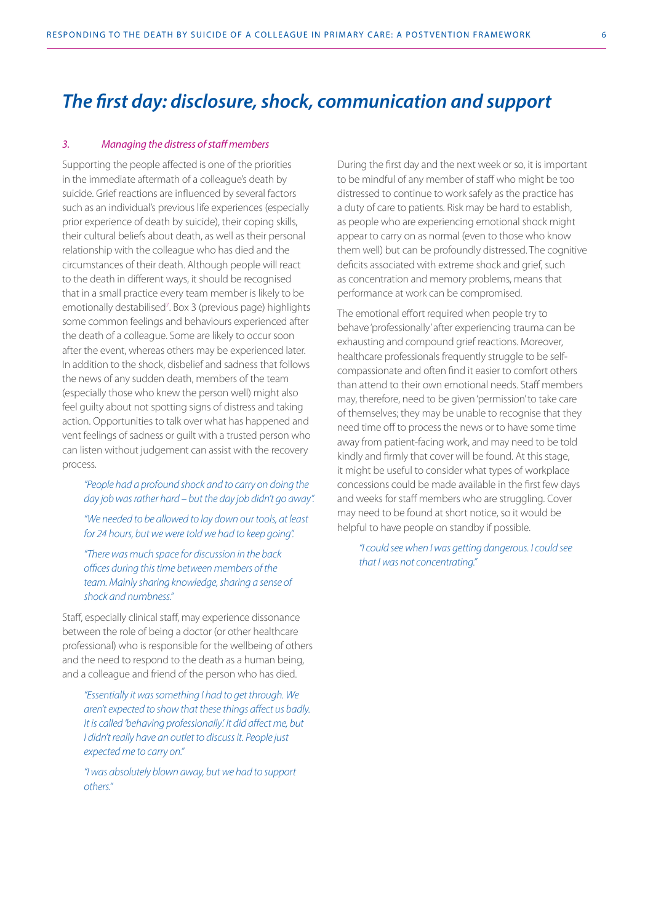## *The first day: disclosure, shock, communication and support*

#### *3. Managing the distress of staff members*

Supporting the people affected is one of the priorities in the immediate aftermath of a colleague's death by suicide. Grief reactions are influenced by several factors such as an individual's previous life experiences (especially prior experience of death by suicide), their coping skills, their cultural beliefs about death, as well as their personal relationship with the colleague who has died and the circumstances of their death. Although people will react to the death in different ways, it should be recognised that in a small practice every team member is likely to be emotionally destabilised<sup>7</sup>. Box 3 (previous page) highlights some common feelings and behaviours experienced after the death of a colleague. Some are likely to occur soon after the event, whereas others may be experienced later. In addition to the shock, disbelief and sadness that follows the news of any sudden death, members of the team (especially those who knew the person well) might also feel guilty about not spotting signs of distress and taking action. Opportunities to talk over what has happened and vent feelings of sadness or guilt with a trusted person who can listen without judgement can assist with the recovery process.

*"People had a profound shock and to carry on doing the day job was rather hard – but the day job didn't go away".* 

*"We needed to be allowed to lay down our tools, at least for 24 hours, but we were told we had to keep going".* 

*"There was much space for discussion in the back offices during this time between members of the team. Mainly sharing knowledge, sharing a sense of shock and numbness."*

Staff, especially clinical staff, may experience dissonance between the role of being a doctor (or other healthcare professional) who is responsible for the wellbeing of others and the need to respond to the death as a human being, and a colleague and friend of the person who has died.

*"Essentially it was something I had to get through. We aren't expected to show that these things affect us badly. It is called 'behaving professionally'. It did affect me, but I didn't really have an outlet to discuss it. People just expected me to carry on."* 

*"I was absolutely blown away, but we had to support others."*

During the first day and the next week or so, it is important to be mindful of any member of staff who might be too distressed to continue to work safely as the practice has a duty of care to patients. Risk may be hard to establish, as people who are experiencing emotional shock might appear to carry on as normal (even to those who know them well) but can be profoundly distressed. The cognitive deficits associated with extreme shock and grief, such as concentration and memory problems, means that performance at work can be compromised.

The emotional effort required when people try to behave 'professionally' after experiencing trauma can be exhausting and compound grief reactions. Moreover, healthcare professionals frequently struggle to be selfcompassionate and often find it easier to comfort others than attend to their own emotional needs. Staff members may, therefore, need to be given 'permission' to take care of themselves; they may be unable to recognise that they need time off to process the news or to have some time away from patient-facing work, and may need to be told kindly and firmly that cover will be found. At this stage, it might be useful to consider what types of workplace concessions could be made available in the first few days and weeks for staff members who are struggling. Cover may need to be found at short notice, so it would be helpful to have people on standby if possible.

*"I could see when I was getting dangerous. I could see that I was not concentrating."*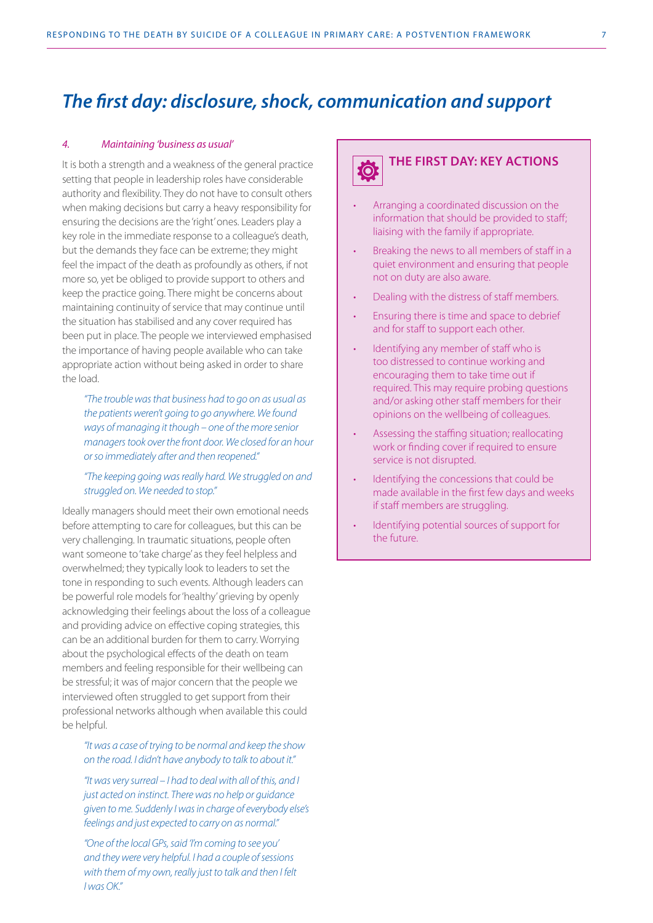## *The first day: disclosure, shock, communication and support*

#### *4. Maintaining 'business as usual'*

It is both a strength and a weakness of the general practice setting that people in leadership roles have considerable authority and flexibility. They do not have to consult others when making decisions but carry a heavy responsibility for ensuring the decisions are the 'right' ones. Leaders play a key role in the immediate response to a colleague's death, but the demands they face can be extreme; they might feel the impact of the death as profoundly as others, if not more so, yet be obliged to provide support to others and keep the practice going. There might be concerns about maintaining continuity of service that may continue until the situation has stabilised and any cover required has been put in place. The people we interviewed emphasised the importance of having people available who can take appropriate action without being asked in order to share the load.

*"The trouble was that business had to go on as usual as the patients weren't going to go anywhere. We found ways of managing it though – one of the more senior managers took over the front door. We closed for an hour or so immediately after and then reopened."*

#### *"The keeping going was really hard. We struggled on and struggled on. We needed to stop."*

Ideally managers should meet their own emotional needs before attempting to care for colleagues, but this can be very challenging. In traumatic situations, people often want someone to 'take charge' as they feel helpless and overwhelmed; they typically look to leaders to set the tone in responding to such events. Although leaders can be powerful role models for 'healthy' grieving by openly acknowledging their feelings about the loss of a colleague and providing advice on effective coping strategies, this can be an additional burden for them to carry. Worrying about the psychological effects of the death on team members and feeling responsible for their wellbeing can be stressful; it was of major concern that the people we interviewed often struggled to get support from their professional networks although when available this could be helpful.

#### *"It was a case of trying to be normal and keep the show on the road. I didn't have anybody to talk to about it."*

*"It was very surreal – I had to deal with all of this, and I just acted on instinct. There was no help or guidance given to me. Suddenly I was in charge of everybody else's feelings and just expected to carry on as normal."*

*"One of the local GPs, said 'I'm coming to see you' and they were very helpful. I had a couple of sessions with them of my own, really just to talk and then I felt I was OK."*

#### **THE FIRST DAY: KEY ACTIONS Q**

- Arranging a coordinated discussion on the information that should be provided to staff; liaising with the family if appropriate.
- Breaking the news to all members of staff in a quiet environment and ensuring that people not on duty are also aware.
- Dealing with the distress of staff members.
- Ensuring there is time and space to debrief and for staff to support each other.
- Identifying any member of staff who is too distressed to continue working and encouraging them to take time out if required. This may require probing questions and/or asking other staff members for their opinions on the wellbeing of colleagues.
- Assessing the staffing situation; reallocating work or finding cover if required to ensure service is not disrupted.
- Identifying the concessions that could be made available in the first few days and weeks if staff members are struggling.
- Identifying potential sources of support for the future.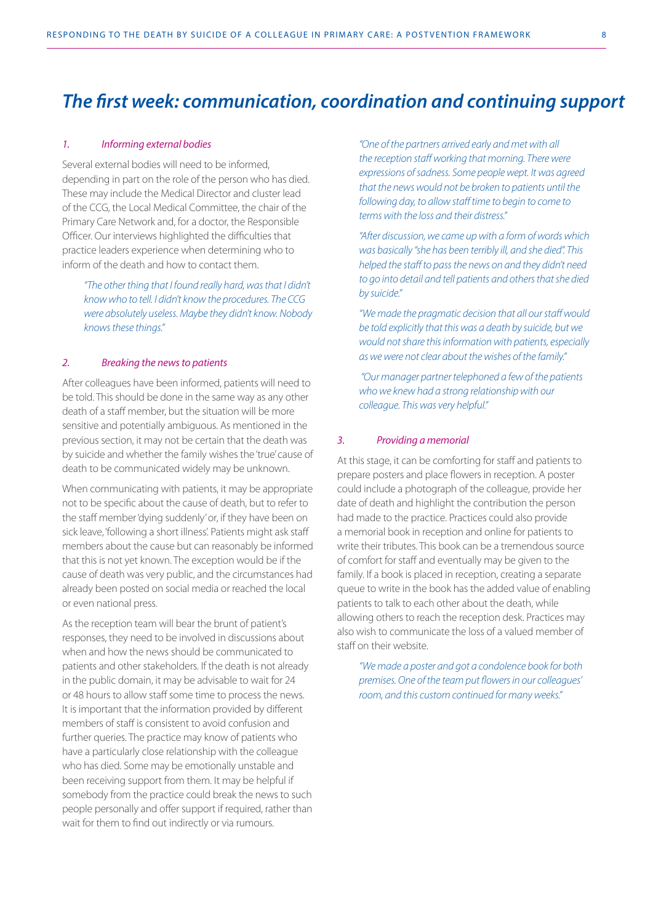#### *1. Informing external bodies*

Several external bodies will need to be informed, depending in part on the role of the person who has died. These may include the Medical Director and cluster lead of the CCG, the Local Medical Committee, the chair of the Primary Care Network and, for a doctor, the Responsible Officer. Our interviews highlighted the difficulties that practice leaders experience when determining who to inform of the death and how to contact them.

*"The other thing that I found really hard, was that I didn't know who to tell. I didn't know the procedures. The CCG were absolutely useless. Maybe they didn't know. Nobody knows these things."*

#### *2. Breaking the news to patients*

After colleagues have been informed, patients will need to be told. This should be done in the same way as any other death of a staff member, but the situation will be more sensitive and potentially ambiguous. As mentioned in the previous section, it may not be certain that the death was by suicide and whether the family wishes the 'true' cause of death to be communicated widely may be unknown.

When communicating with patients, it may be appropriate not to be specific about the cause of death, but to refer to the staff member 'dying suddenly' or, if they have been on sick leave, 'following a short illness'. Patients might ask staff members about the cause but can reasonably be informed that this is not yet known. The exception would be if the cause of death was very public, and the circumstances had already been posted on social media or reached the local or even national press.

As the reception team will bear the brunt of patient's responses, they need to be involved in discussions about when and how the news should be communicated to patients and other stakeholders. If the death is not already in the public domain, it may be advisable to wait for 24 or 48 hours to allow staff some time to process the news. It is important that the information provided by different members of staff is consistent to avoid confusion and further queries. The practice may know of patients who have a particularly close relationship with the colleague who has died. Some may be emotionally unstable and been receiving support from them. It may be helpful if somebody from the practice could break the news to such people personally and offer support if required, rather than wait for them to find out indirectly or via rumours.

*"One of the partners arrived early and met with all the reception staff working that morning. There were expressions of sadness. Some people wept. It was agreed that the news would not be broken to patients until the following day, to allow staff time to begin to come to terms with the loss and their distress."* 

*"After discussion, we came up with a form of words which was basically "she has been terribly ill, and she died". This helped the staff to pass the news on and they didn't need to go into detail and tell patients and others that she died by suicide."*

*"We made the pragmatic decision that all our staff would be told explicitly that this was a death by suicide, but we would not share this information with patients, especially as we were not clear about the wishes of the family."*

 *"Our manager partner telephoned a few of the patients who we knew had a strong relationship with our colleague. This was very helpful."* 

#### *3. Providing a memorial*

At this stage, it can be comforting for staff and patients to prepare posters and place flowers in reception. A poster could include a photograph of the colleague, provide her date of death and highlight the contribution the person had made to the practice. Practices could also provide a memorial book in reception and online for patients to write their tributes. This book can be a tremendous source of comfort for staff and eventually may be given to the family. If a book is placed in reception, creating a separate queue to write in the book has the added value of enabling patients to talk to each other about the death, while allowing others to reach the reception desk. Practices may also wish to communicate the loss of a valued member of staff on their website.

*"We made a poster and got a condolence book for both premises. One of the team put flowers in our colleagues' room, and this custom continued for many weeks."*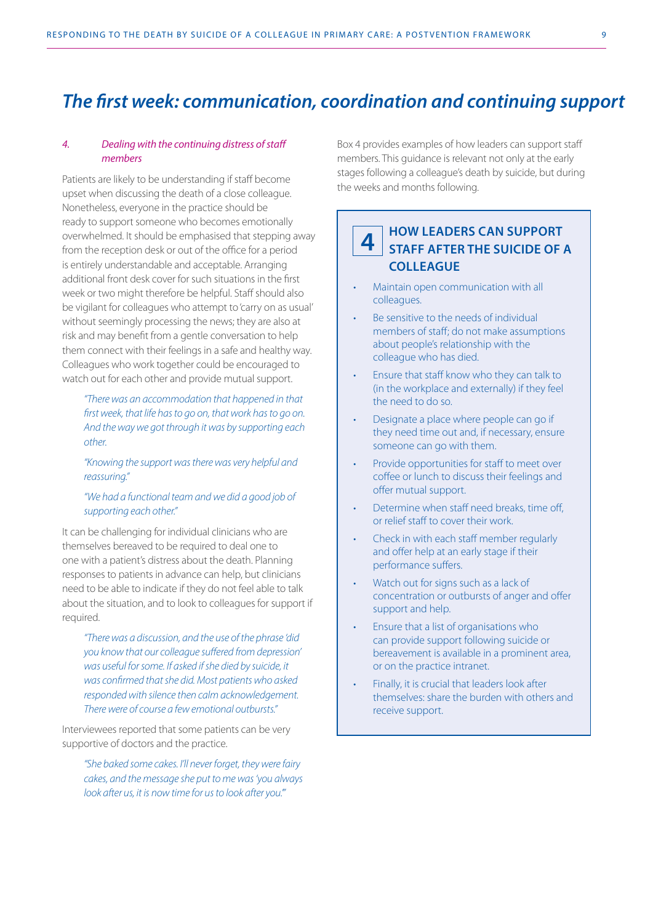#### *4. Dealing with the continuing distress of staff members*

Patients are likely to be understanding if staff become upset when discussing the death of a close colleague. Nonetheless, everyone in the practice should be ready to support someone who becomes emotionally overwhelmed. It should be emphasised that stepping away from the reception desk or out of the office for a period is entirely understandable and acceptable. Arranging additional front desk cover for such situations in the first week or two might therefore be helpful. Staff should also be vigilant for colleagues who attempt to 'carry on as usual' without seemingly processing the news; they are also at risk and may benefit from a gentle conversation to help them connect with their feelings in a safe and healthy way. Colleagues who work together could be encouraged to watch out for each other and provide mutual support.

*"There was an accommodation that happened in that first week, that life has to go on, that work has to go on. And the way we got through it was by supporting each other.* 

*"Knowing the support was there was very helpful and reassuring."* 

#### *"We had a functional team and we did a good job of supporting each other."*

It can be challenging for individual clinicians who are themselves bereaved to be required to deal one to one with a patient's distress about the death. Planning responses to patients in advance can help, but clinicians need to be able to indicate if they do not feel able to talk about the situation, and to look to colleagues for support if required.

*"There was a discussion, and the use of the phrase 'did you know that our colleague suffered from depression' was useful for some. If asked if she died by suicide, it was confirmed that she did. Most patients who asked responded with silence then calm acknowledgement. There were of course a few emotional outbursts."*

Interviewees reported that some patients can be very supportive of doctors and the practice.

*"She baked some cakes. I'll never forget, they were fairy cakes, and the message she put to me was 'you always look after us, it is now time for us to look after you.'"*

Box 4 provides examples of how leaders can support staff members. This guidance is relevant not only at the early stages following a colleague's death by suicide, but during the weeks and months following.

#### **HOW LEADERS CAN SUPPORT STAFF AFTER THE SUICIDE OF A COLLEAGUE 4**

- Maintain open communication with all colleagues.
- Be sensitive to the needs of individual members of staff; do not make assumptions about people's relationship with the colleague who has died.
- Ensure that staff know who they can talk to (in the workplace and externally) if they feel the need to do so.
- Designate a place where people can go if they need time out and, if necessary, ensure someone can go with them.
- Provide opportunities for staff to meet over coffee or lunch to discuss their feelings and offer mutual support.
- Determine when staff need breaks, time off, or relief staff to cover their work.
- Check in with each staff member regularly and offer help at an early stage if their performance suffers.
- Watch out for signs such as a lack of concentration or outbursts of anger and offer support and help.
- Ensure that a list of organisations who can provide support following suicide or bereavement is available in a prominent area, or on the practice intranet.
- Finally, it is crucial that leaders look after themselves: share the burden with others and receive support.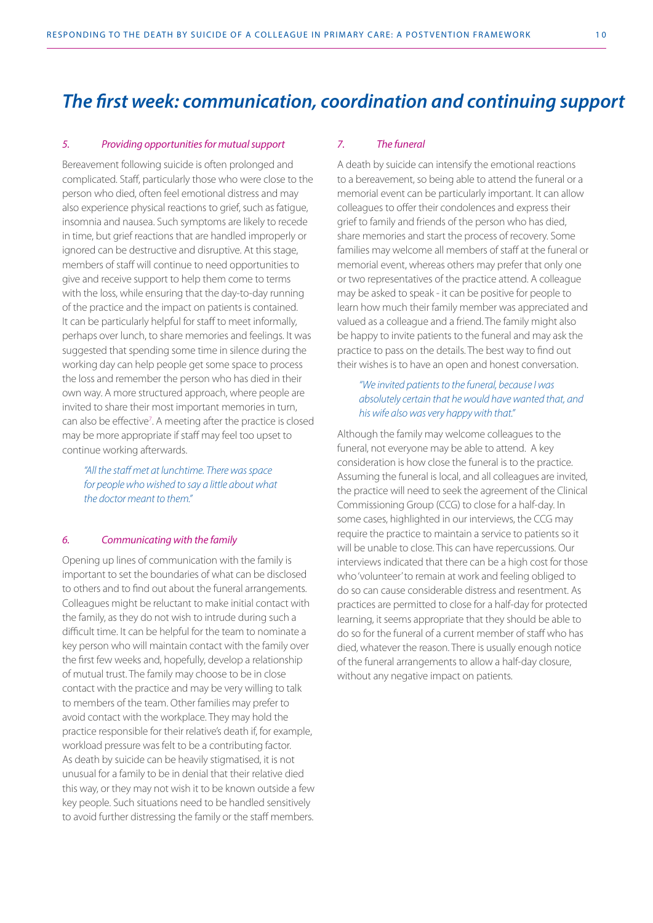#### *5. Providing opportunities for mutual support*

Bereavement following suicide is often prolonged and complicated. Staff, particularly those who were close to the person who died, often feel emotional distress and may also experience physical reactions to grief, such as fatigue, insomnia and nausea. Such symptoms are likely to recede in time, but grief reactions that are handled improperly or ignored can be destructive and disruptive. At this stage, members of staff will continue to need opportunities to give and receive support to help them come to terms with the loss, while ensuring that the day-to-day running of the practice and the impact on patients is contained. It can be particularly helpful for staff to meet informally, perhaps over lunch, to share memories and feelings. It was suggested that spending some time in silence during the working day can help people get some space to process the loss and remember the person who has died in their own way. A more structured approach, where people are invited to share their most important memories in turn, can also be effective<sup>7</sup>. A meeting after the practice is closed may be more appropriate if staff may feel too upset to continue working afterwards.

*"All the staff met at lunchtime. There was space for people who wished to say a little about what the doctor meant to them."*

#### *6. Communicating with the family*

Opening up lines of communication with the family is important to set the boundaries of what can be disclosed to others and to find out about the funeral arrangements. Colleagues might be reluctant to make initial contact with the family, as they do not wish to intrude during such a difficult time. It can be helpful for the team to nominate a key person who will maintain contact with the family over the first few weeks and, hopefully, develop a relationship of mutual trust. The family may choose to be in close contact with the practice and may be very willing to talk to members of the team. Other families may prefer to avoid contact with the workplace. They may hold the practice responsible for their relative's death if, for example, workload pressure was felt to be a contributing factor. As death by suicide can be heavily stigmatised, it is not unusual for a family to be in denial that their relative died this way, or they may not wish it to be known outside a few key people. Such situations need to be handled sensitively to avoid further distressing the family or the staff members.

#### *7. The funeral*

A death by suicide can intensify the emotional reactions to a bereavement, so being able to attend the funeral or a memorial event can be particularly important. It can allow colleagues to offer their condolences and express their grief to family and friends of the person who has died, share memories and start the process of recovery. Some families may welcome all members of staff at the funeral or memorial event, whereas others may prefer that only one or two representatives of the practice attend. A colleague may be asked to speak - it can be positive for people to learn how much their family member was appreciated and valued as a colleague and a friend. The family might also be happy to invite patients to the funeral and may ask the practice to pass on the details. The best way to find out their wishes is to have an open and honest conversation.

#### *"We invited patients to the funeral, because I was absolutely certain that he would have wanted that, and his wife also was very happy with that."*

Although the family may welcome colleagues to the funeral, not everyone may be able to attend. A key consideration is how close the funeral is to the practice. Assuming the funeral is local, and all colleagues are invited, the practice will need to seek the agreement of the Clinical Commissioning Group (CCG) to close for a half-day. In some cases, highlighted in our interviews, the CCG may require the practice to maintain a service to patients so it will be unable to close. This can have repercussions. Our interviews indicated that there can be a high cost for those who 'volunteer' to remain at work and feeling obliged to do so can cause considerable distress and resentment. As practices are permitted to close for a half-day for protected learning, it seems appropriate that they should be able to do so for the funeral of a current member of staff who has died, whatever the reason. There is usually enough notice of the funeral arrangements to allow a half-day closure, without any negative impact on patients.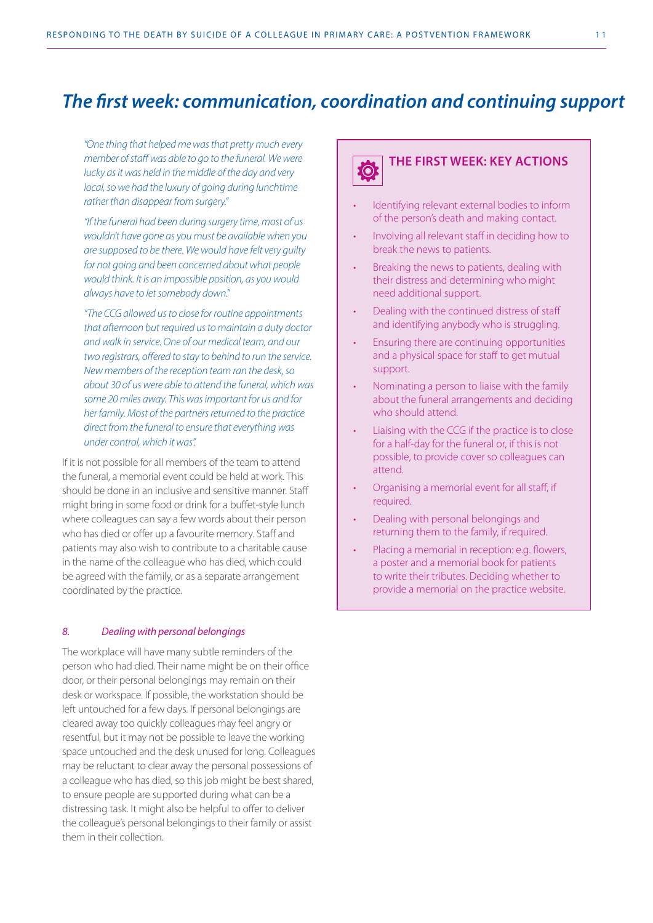*"One thing that helped me was that pretty much every member of staff was able to go to the funeral. We were lucky as it was held in the middle of the day and very local, so we had the luxury of going during lunchtime rather than disappear from surgery."*

*"If the funeral had been during surgery time, most of us wouldn't have gone as you must be available when you are supposed to be there. We would have felt very guilty for not going and been concerned about what people would think. It is an impossible position, as you would always have to let somebody down."* 

*"The CCG allowed us to close for routine appointments that afternoon but required us to maintain a duty doctor and walk in service. One of our medical team, and our two registrars, offered to stay to behind to run the service. New members of the reception team ran the desk, so about 30 of us were able to attend the funeral, which was some 20 miles away. This was important for us and for her family. Most of the partners returned to the practice direct from the funeral to ensure that everything was under control, which it was".*

If it is not possible for all members of the team to attend the funeral, a memorial event could be held at work. This should be done in an inclusive and sensitive manner. Staff might bring in some food or drink for a buffet-style lunch where colleagues can say a few words about their person who has died or offer up a favourite memory. Staff and patients may also wish to contribute to a charitable cause in the name of the colleague who has died, which could be agreed with the family, or as a separate arrangement coordinated by the practice.

#### *8. Dealing with personal belongings*

The workplace will have many subtle reminders of the person who had died. Their name might be on their office door, or their personal belongings may remain on their desk or workspace. If possible, the workstation should be left untouched for a few days. If personal belongings are cleared away too quickly colleagues may feel angry or resentful, but it may not be possible to leave the working space untouched and the desk unused for long. Colleagues may be reluctant to clear away the personal possessions of a colleague who has died, so this job might be best shared, to ensure people are supported during what can be a distressing task. It might also be helpful to offer to deliver the colleague's personal belongings to their family or assist them in their collection.



- Identifying relevant external bodies to inform of the person's death and making contact.
- Involving all relevant staff in deciding how to break the news to patients.
- Breaking the news to patients, dealing with their distress and determining who might need additional support.
- Dealing with the continued distress of staff and identifying anybody who is struggling.
- Ensuring there are continuing opportunities and a physical space for staff to get mutual support.
- Nominating a person to liaise with the family about the funeral arrangements and deciding who should attend.
- Liaising with the CCG if the practice is to close for a half-day for the funeral or, if this is not possible, to provide cover so colleagues can attend.
- Organising a memorial event for all staff, if required.
- Dealing with personal belongings and returning them to the family, if required.
- Placing a memorial in reception: e.g. flowers, a poster and a memorial book for patients to write their tributes. Deciding whether to provide a memorial on the practice website.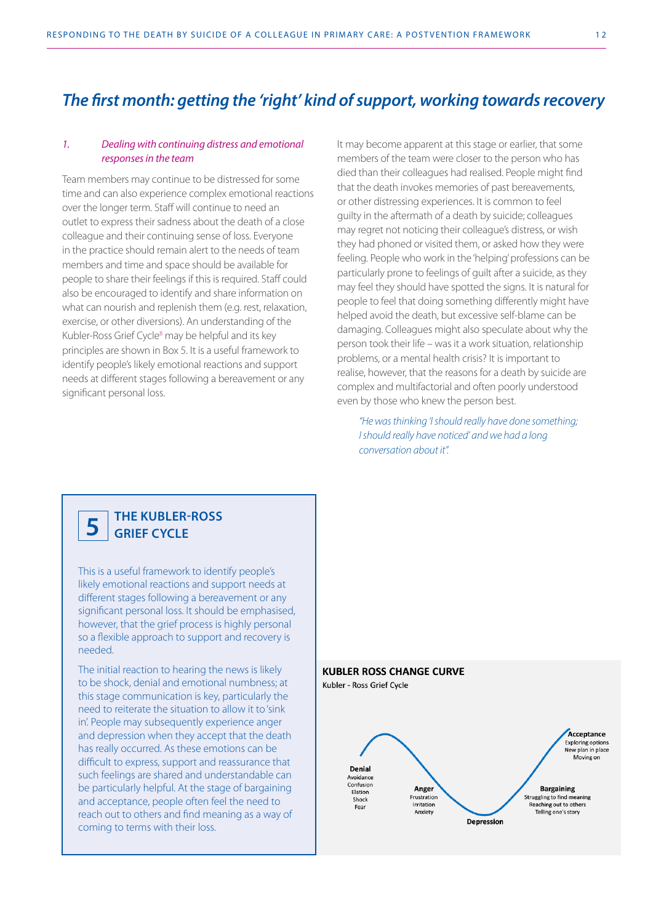#### *1. Dealing with continuing distress and emotional responses in the team*

Team members may continue to be distressed for some time and can also experience complex emotional reactions over the longer term. Staff will continue to need an outlet to express their sadness about the death of a close colleague and their continuing sense of loss. Everyone in the practice should remain alert to the needs of team members and time and space should be available for people to share their feelings if this is required. Staff could also be encouraged to identify and share information on what can nourish and replenish them (e.g. rest, relaxation, exercise, or other diversions). An understanding of the Kubler-Ross Grief Cycle<sup>8</sup> may be helpful and its key principles are shown in Box 5. It is a useful framework to identify people's likely emotional reactions and support needs at different stages following a bereavement or any significant personal loss.

It may become apparent at this stage or earlier, that some members of the team were closer to the person who has died than their colleagues had realised. People might find that the death invokes memories of past bereavements, or other distressing experiences. It is common to feel guilty in the aftermath of a death by suicide; colleagues may regret not noticing their colleague's distress, or wish they had phoned or visited them, or asked how they were feeling. People who work in the 'helping' professions can be particularly prone to feelings of guilt after a suicide, as they may feel they should have spotted the signs. It is natural for people to feel that doing something differently might have helped avoid the death, but excessive self-blame can be damaging. Colleagues might also speculate about why the person took their life – was it a work situation, relationship problems, or a mental health crisis? It is important to realise, however, that the reasons for a death by suicide are complex and multifactorial and often poorly understood even by those who knew the person best.

*"He was thinking 'I should really have done something; I should really have noticed' and we had a long conversation about it".* 

#### **THE KUBLER-ROSS GRIEF CYCLE 5**

This is a useful framework to identify people's likely emotional reactions and support needs at different stages following a bereavement or any significant personal loss. It should be emphasised, however, that the grief process is highly personal so a flexible approach to support and recovery is needed.

The initial reaction to hearing the news is likely to be shock, denial and emotional numbness; at this stage communication is key, particularly the need to reiterate the situation to allow it to 'sink in'. People may subsequently experience anger and depression when they accept that the death has really occurred. As these emotions can be difficult to express, support and reassurance that such feelings are shared and understandable can be particularly helpful. At the stage of bargaining and acceptance, people often feel the need to reach out to others and find meaning as a way of coming to terms with their loss.

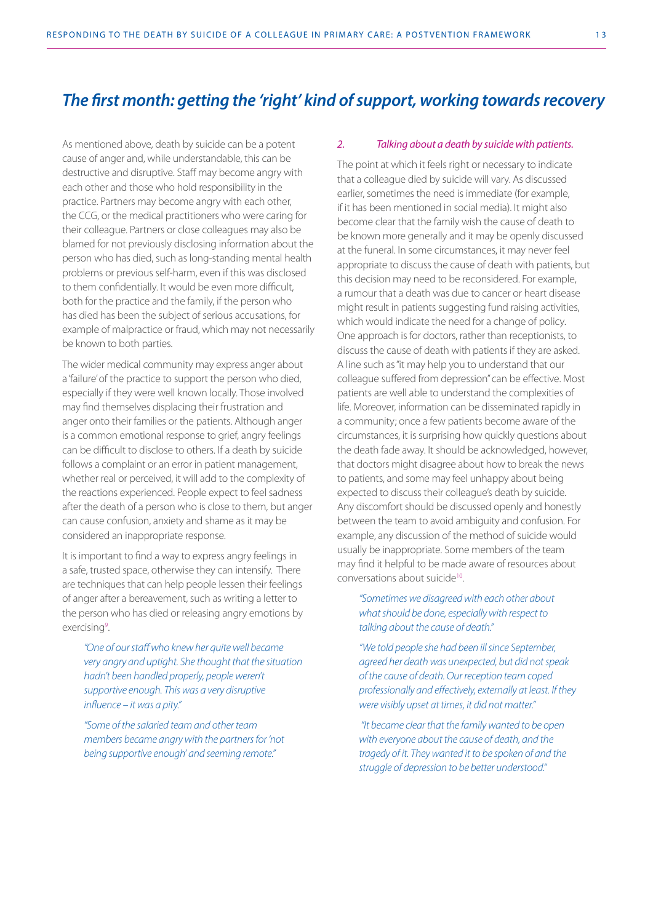As mentioned above, death by suicide can be a potent cause of anger and, while understandable, this can be destructive and disruptive. Staff may become angry with each other and those who hold responsibility in the practice. Partners may become angry with each other, the CCG, or the medical practitioners who were caring for their colleague. Partners or close colleagues may also be blamed for not previously disclosing information about the person who has died, such as long-standing mental health problems or previous self-harm, even if this was disclosed to them confidentially. It would be even more difficult, both for the practice and the family, if the person who has died has been the subject of serious accusations, for example of malpractice or fraud, which may not necessarily be known to both parties.

The wider medical community may express anger about a 'failure' of the practice to support the person who died, especially if they were well known locally. Those involved may find themselves displacing their frustration and anger onto their families or the patients. Although anger is a common emotional response to grief, angry feelings can be difficult to disclose to others. If a death by suicide follows a complaint or an error in patient management, whether real or perceived, it will add to the complexity of the reactions experienced. People expect to feel sadness after the death of a person who is close to them, but anger can cause confusion, anxiety and shame as it may be considered an inappropriate response.

It is important to find a way to express angry feelings in a safe, trusted space, otherwise they can intensify. There are techniques that can help people lessen their feelings of anger after a bereavement, such as writing a letter to the person who has died or releasing angry emotions by exercising<sup>9</sup>.

*"One of our staff who knew her quite well became very angry and uptight. She thought that the situation hadn't been handled properly, people weren't supportive enough. This was a very disruptive influence – it was a pity."*

*"Some of the salaried team and other team members became angry with the partners for 'not being supportive enough' and seeming remote."* 

#### *2. Talking about a death by suicide with patients.*

The point at which it feels right or necessary to indicate that a colleague died by suicide will vary. As discussed earlier, sometimes the need is immediate (for example, if it has been mentioned in social media). It might also become clear that the family wish the cause of death to be known more generally and it may be openly discussed at the funeral. In some circumstances, it may never feel appropriate to discuss the cause of death with patients, but this decision may need to be reconsidered. For example, a rumour that a death was due to cancer or heart disease might result in patients suggesting fund raising activities, which would indicate the need for a change of policy. One approach is for doctors, rather than receptionists, to discuss the cause of death with patients if they are asked. A line such as "it may help you to understand that our colleague suffered from depression" can be effective. Most patients are well able to understand the complexities of life. Moreover, information can be disseminated rapidly in a community; once a few patients become aware of the circumstances, it is surprising how quickly questions about the death fade away. It should be acknowledged, however, that doctors might disagree about how to break the news to patients, and some may feel unhappy about being expected to discuss their colleague's death by suicide. Any discomfort should be discussed openly and honestly between the team to avoid ambiguity and confusion. For example, any discussion of the method of suicide would usually be inappropriate. Some members of the team may find it helpful to be made aware of resources about conversations about suicide<sup>10</sup>.

*"Sometimes we disagreed with each other about what should be done, especially with respect to talking about the cause of death."*

*"We told people she had been ill since September, agreed her death was unexpected, but did not speak of the cause of death. Our reception team coped professionally and effectively, externally at least. If they were visibly upset at times, it did not matter."*

 *"It became clear that the family wanted to be open with everyone about the cause of death, and the tragedy of it. They wanted it to be spoken of and the struggle of depression to be better understood."*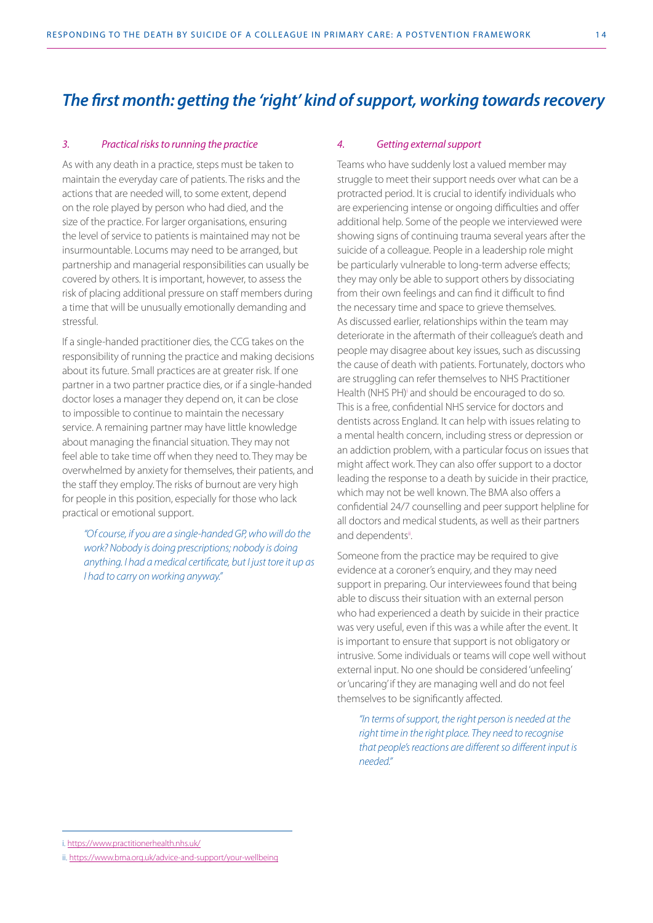#### *3. Practical risks to running the practice*

As with any death in a practice, steps must be taken to maintain the everyday care of patients. The risks and the actions that are needed will, to some extent, depend on the role played by person who had died, and the size of the practice. For larger organisations, ensuring the level of service to patients is maintained may not be insurmountable. Locums may need to be arranged, but partnership and managerial responsibilities can usually be covered by others. It is important, however, to assess the risk of placing additional pressure on staff members during a time that will be unusually emotionally demanding and stressful.

If a single-handed practitioner dies, the CCG takes on the responsibility of running the practice and making decisions about its future. Small practices are at greater risk. If one partner in a two partner practice dies, or if a single-handed doctor loses a manager they depend on, it can be close to impossible to continue to maintain the necessary service. A remaining partner may have little knowledge about managing the financial situation. They may not feel able to take time off when they need to. They may be overwhelmed by anxiety for themselves, their patients, and the staff they employ. The risks of burnout are very high for people in this position, especially for those who lack practical or emotional support.

*"Of course, if you are a single-handed GP, who will do the work? Nobody is doing prescriptions; nobody is doing anything. I had a medical certificate, but I just tore it up as I had to carry on working anyway."*

#### *4. Getting external support*

Teams who have suddenly lost a valued member may struggle to meet their support needs over what can be a protracted period. It is crucial to identify individuals who are experiencing intense or ongoing difficulties and offer additional help. Some of the people we interviewed were showing signs of continuing trauma several years after the suicide of a colleague. People in a leadership role might be particularly vulnerable to long-term adverse effects; they may only be able to support others by dissociating from their own feelings and can find it difficult to find the necessary time and space to grieve themselves. As discussed earlier, relationships within the team may deteriorate in the aftermath of their colleague's death and people may disagree about key issues, such as discussing the cause of death with patients. Fortunately, doctors who are struggling can refer themselves to NHS Practitioner Health (NHS PH)<sup>i</sup> and should be encouraged to do so. This is a free, confidential NHS service for doctors and dentists across England. It can help with issues relating to a mental health concern, including stress or depression or an addiction problem, with a particular focus on issues that might affect work. They can also offer support to a doctor leading the response to a death by suicide in their practice, which may not be well known. The BMA also offers a confidential 24/7 counselling and peer support helpline for all doctors and medical students, as well as their partners and dependentsil.

Someone from the practice may be required to give evidence at a coroner's enquiry, and they may need support in preparing. Our interviewees found that being able to discuss their situation with an external person who had experienced a death by suicide in their practice was very useful, even if this was a while after the event. It is important to ensure that support is not obligatory or intrusive. Some individuals or teams will cope well without external input. No one should be considered 'unfeeling' or 'uncaring' if they are managing well and do not feel themselves to be significantly affected.

*"In terms of support, the right person is needed at the right time in the right place. They need to recognise that people's reactions are different so different input is needed."*

i. <https://www.practitionerhealth.nhs.uk/>

ii.<https://www.bma.org.uk/advice-and-support/your-wellbeing>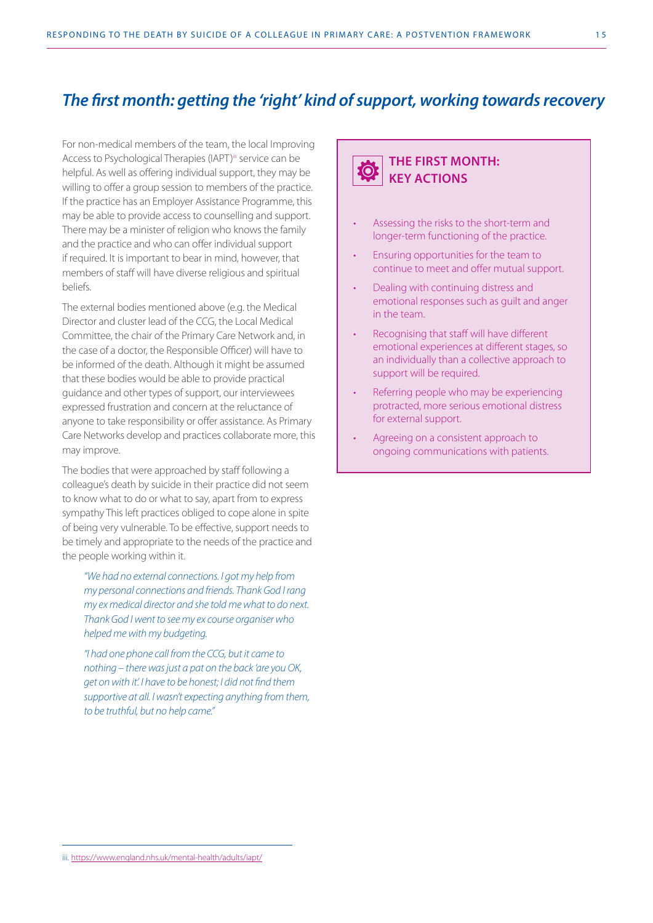For non-medical members of the team, the local Improving Access to Psychological Therapies (IAPT)<sup>iii</sup> service can be helpful. As well as offering individual support, they may be willing to offer a group session to members of the practice. If the practice has an Employer Assistance Programme, this may be able to provide access to counselling and support. There may be a minister of religion who knows the family and the practice and who can offer individual support if required. It is important to bear in mind, however, that members of staff will have diverse religious and spiritual beliefs.

The external bodies mentioned above (e.g. the Medical Director and cluster lead of the CCG, the Local Medical Committee, the chair of the Primary Care Network and, in the case of a doctor, the Responsible Officer) will have to be informed of the death. Although it might be assumed that these bodies would be able to provide practical guidance and other types of support, our interviewees expressed frustration and concern at the reluctance of anyone to take responsibility or offer assistance. As Primary Care Networks develop and practices collaborate more, this may improve.

The bodies that were approached by staff following a colleague's death by suicide in their practice did not seem to know what to do or what to say, apart from to express sympathy This left practices obliged to cope alone in spite of being very vulnerable. To be effective, support needs to be timely and appropriate to the needs of the practice and the people working within it.

*"We had no external connections. I got my help from my personal connections and friends. Thank God I rang my ex medical director and she told me what to do next. Thank God I went to see my ex course organiser who helped me with my budgeting.* 

*"I had one phone call from the CCG, but it came to nothing – there was just a pat on the back 'are you OK, get on with it'. I have to be honest; I did not find them supportive at all. I wasn't expecting anything from them, to be truthful, but no help came."* 

#### **THE FIRST MONTH: O KEY ACTIONS**

- Assessing the risks to the short-term and longer-term functioning of the practice.
- Ensuring opportunities for the team to continue to meet and offer mutual support.
- Dealing with continuing distress and emotional responses such as guilt and anger in the team.
- Recognising that staff will have different emotional experiences at different stages, so an individually than a collective approach to support will be required.
- Referring people who may be experiencing protracted, more serious emotional distress for external support.
- Agreeing on a consistent approach to ongoing communications with patients.

iii. <https://www.england.nhs.uk/mental-health/adults/iapt/>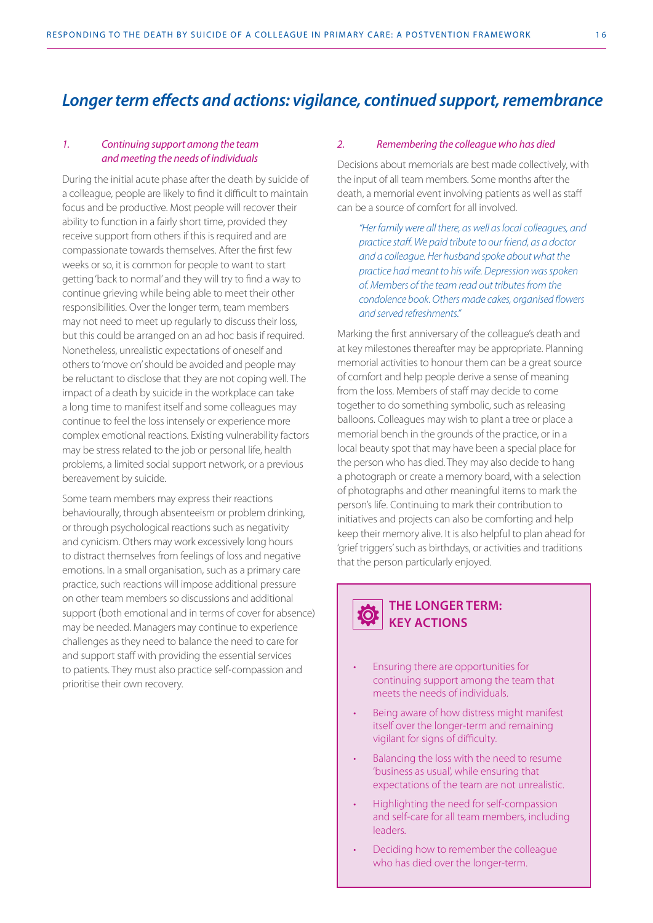## *Longer term effects and actions: vigilance, continued support, remembrance*

#### *1. Continuing support among the team and meeting the needs of individuals*

During the initial acute phase after the death by suicide of a colleague, people are likely to find it difficult to maintain focus and be productive. Most people will recover their ability to function in a fairly short time, provided they receive support from others if this is required and are compassionate towards themselves. After the first few weeks or so, it is common for people to want to start getting 'back to normal' and they will try to find a way to continue grieving while being able to meet their other responsibilities. Over the longer term, team members may not need to meet up regularly to discuss their loss, but this could be arranged on an ad hoc basis if required. Nonetheless, unrealistic expectations of oneself and others to 'move on' should be avoided and people may be reluctant to disclose that they are not coping well. The impact of a death by suicide in the workplace can take a long time to manifest itself and some colleagues may continue to feel the loss intensely or experience more complex emotional reactions. Existing vulnerability factors may be stress related to the job or personal life, health problems, a limited social support network, or a previous bereavement by suicide.

Some team members may express their reactions behaviourally, through absenteeism or problem drinking, or through psychological reactions such as negativity and cynicism. Others may work excessively long hours to distract themselves from feelings of loss and negative emotions. In a small organisation, such as a primary care practice, such reactions will impose additional pressure on other team members so discussions and additional support (both emotional and in terms of cover for absence) may be needed. Managers may continue to experience challenges as they need to balance the need to care for and support staff with providing the essential services to patients. They must also practice self-compassion and prioritise their own recovery.

#### *2. Remembering the colleague who has died*

Decisions about memorials are best made collectively, with the input of all team members. Some months after the death, a memorial event involving patients as well as staff can be a source of comfort for all involved.

*"Her family were all there, as well as local colleagues, and practice staff. We paid tribute to our friend, as a doctor and a colleague. Her husband spoke about what the practice had meant to his wife. Depression was spoken of. Members of the team read out tributes from the condolence book. Others made cakes, organised flowers and served refreshments."*

Marking the first anniversary of the colleague's death and at key milestones thereafter may be appropriate. Planning memorial activities to honour them can be a great source of comfort and help people derive a sense of meaning from the loss. Members of staff may decide to come together to do something symbolic, such as releasing balloons. Colleagues may wish to plant a tree or place a memorial bench in the grounds of the practice, or in a local beauty spot that may have been a special place for the person who has died. They may also decide to hang a photograph or create a memory board, with a selection of photographs and other meaningful items to mark the person's life. Continuing to mark their contribution to initiatives and projects can also be comforting and help keep their memory alive. It is also helpful to plan ahead for 'grief triggers' such as birthdays, or activities and traditions that the person particularly enjoyed.



# **KEY ACTIONS**

- Ensuring there are opportunities for continuing support among the team that meets the needs of individuals.
- Being aware of how distress might manifest itself over the longer-term and remaining vigilant for signs of difficulty.
- Balancing the loss with the need to resume 'business as usual', while ensuring that expectations of the team are not unrealistic.
- Highlighting the need for self-compassion and self-care for all team members, including leaders.
- Deciding how to remember the colleague who has died over the longer-term.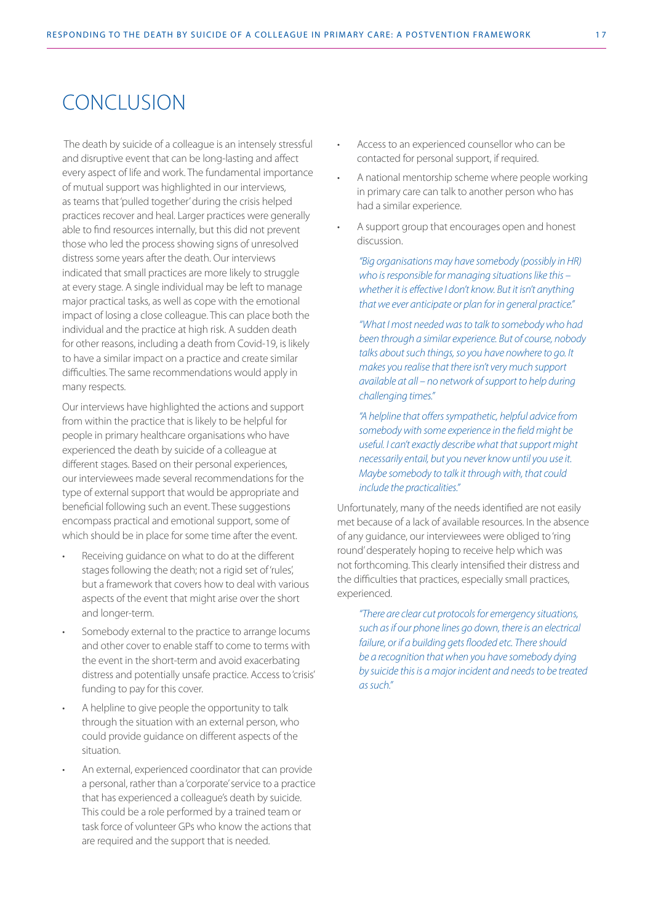## **CONCLUSION**

 The death by suicide of a colleague is an intensely stressful and disruptive event that can be long-lasting and affect every aspect of life and work. The fundamental importance of mutual support was highlighted in our interviews, as teams that 'pulled together' during the crisis helped practices recover and heal. Larger practices were generally able to find resources internally, but this did not prevent those who led the process showing signs of unresolved distress some years after the death. Our interviews indicated that small practices are more likely to struggle at every stage. A single individual may be left to manage major practical tasks, as well as cope with the emotional impact of losing a close colleague. This can place both the individual and the practice at high risk. A sudden death for other reasons, including a death from Covid-19, is likely to have a similar impact on a practice and create similar difficulties. The same recommendations would apply in many respects.

Our interviews have highlighted the actions and support from within the practice that is likely to be helpful for people in primary healthcare organisations who have experienced the death by suicide of a colleague at different stages. Based on their personal experiences, our interviewees made several recommendations for the type of external support that would be appropriate and beneficial following such an event. These suggestions encompass practical and emotional support, some of which should be in place for some time after the event.

- Receiving guidance on what to do at the different stages following the death; not a rigid set of 'rules', but a framework that covers how to deal with various aspects of the event that might arise over the short and longer-term.
- Somebody external to the practice to arrange locums and other cover to enable staff to come to terms with the event in the short-term and avoid exacerbating distress and potentially unsafe practice. Access to 'crisis' funding to pay for this cover.
- A helpline to give people the opportunity to talk through the situation with an external person, who could provide guidance on different aspects of the situation.
- An external, experienced coordinator that can provide a personal, rather than a 'corporate' service to a practice that has experienced a colleague's death by suicide. This could be a role performed by a trained team or task force of volunteer GPs who know the actions that are required and the support that is needed.
- Access to an experienced counsellor who can be contacted for personal support, if required.
- A national mentorship scheme where people working in primary care can talk to another person who has had a similar experience.
- A support group that encourages open and honest discussion.

*"Big organisations may have somebody (possibly in HR) who is responsible for managing situations like this – whether it is effective I don't know. But it isn't anything that we ever anticipate or plan for in general practice."* 

*"What I most needed was to talk to somebody who had been through a similar experience. But of course, nobody talks about such things, so you have nowhere to go. It makes you realise that there isn't very much support available at all – no network of support to help during challenging times."*

*"A helpline that offers sympathetic, helpful advice from somebody with some experience in the field might be useful. I can't exactly describe what that support might necessarily entail, but you never know until you use it. Maybe somebody to talk it through with, that could include the practicalities."*

Unfortunately, many of the needs identified are not easily met because of a lack of available resources. In the absence of any guidance, our interviewees were obliged to 'ring round' desperately hoping to receive help which was not forthcoming. This clearly intensified their distress and the difficulties that practices, especially small practices, experienced.

*"There are clear cut protocols for emergency situations, such as if our phone lines go down, there is an electrical failure, or if a building gets flooded etc. There should be a recognition that when you have somebody dying by suicide this is a major incident and needs to be treated as such."*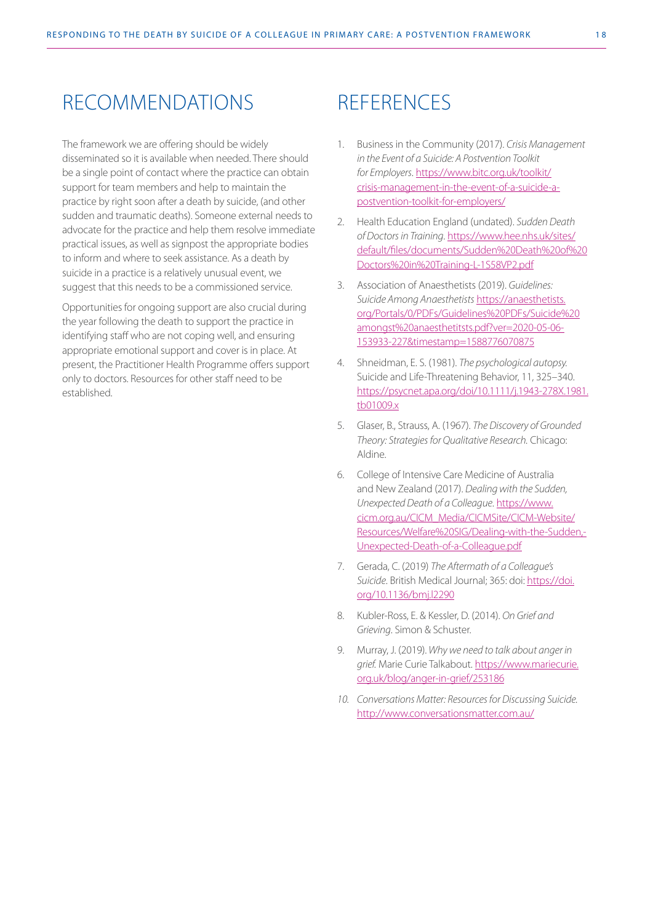## RECOMMENDATIONS

The framework we are offering should be widely disseminated so it is available when needed. There should be a single point of contact where the practice can obtain support for team members and help to maintain the practice by right soon after a death by suicide, (and other sudden and traumatic deaths). Someone external needs to advocate for the practice and help them resolve immediate practical issues, as well as signpost the appropriate bodies to inform and where to seek assistance. As a death by suicide in a practice is a relatively unusual event, we suggest that this needs to be a commissioned service.

Opportunities for ongoing support are also crucial during the year following the death to support the practice in identifying staff who are not coping well, and ensuring appropriate emotional support and cover is in place. At present, the Practitioner Health Programme offers support only to doctors. Resources for other staff need to be established.

## **REFERENCES**

- 1. Business in the Community (2017). *Crisis Management in the Event of a Suicide: A Postvention Toolkit for Employers*. [https://www.bitc.org.uk/toolkit/](https://www.bitc.org.uk/toolkit/crisis-management-in-the-event-of-a-suicide-a-postvention-toolkit-for-employers/) [crisis-management-in-the-event-of-a-suicide-a](https://www.bitc.org.uk/toolkit/crisis-management-in-the-event-of-a-suicide-a-postvention-toolkit-for-employers/)[postvention-toolkit-for-employers/](https://www.bitc.org.uk/toolkit/crisis-management-in-the-event-of-a-suicide-a-postvention-toolkit-for-employers/)
- 2. Health Education England (undated). *Sudden Death of Doctors in Training*. [https://www.hee.nhs.uk/sites/](https://www.hee.nhs.uk/sites/default/files/documents/Sudden%20Death%20of%20Doctors%20in%20Training-L-1S58VP2.pdf) [default/files/documents/Sudden%20Death%20of%20](https://www.hee.nhs.uk/sites/default/files/documents/Sudden%20Death%20of%20Doctors%20in%20Training-L-1S58VP2.pdf) [Doctors%20in%20Training-L-1S58VP2.pdf](https://www.hee.nhs.uk/sites/default/files/documents/Sudden%20Death%20of%20Doctors%20in%20Training-L-1S58VP2.pdf)
- 3. Association of Anaesthetists (2019). *Guidelines: Suicide Among Anaesthetists* [https://anaesthetists.](https://anaesthetists.org/Portals/0/PDFs/Guidelines%20PDFs/Suicide%20amongst%20anaesthetitsts.pdf?ver=2020-05-06-153933-227×tamp=1588776070875) [org/Portals/0/PDFs/Guidelines%20PDFs/Suicide%20](https://anaesthetists.org/Portals/0/PDFs/Guidelines%20PDFs/Suicide%20amongst%20anaesthetitsts.pdf?ver=2020-05-06-153933-227×tamp=1588776070875) [amongst%20anaesthetitsts.pdf?ver=2020-05-06-](https://anaesthetists.org/Portals/0/PDFs/Guidelines%20PDFs/Suicide%20amongst%20anaesthetitsts.pdf?ver=2020-05-06-153933-227×tamp=1588776070875) [153933-227&timestamp=1588776070875](https://anaesthetists.org/Portals/0/PDFs/Guidelines%20PDFs/Suicide%20amongst%20anaesthetitsts.pdf?ver=2020-05-06-153933-227×tamp=1588776070875)
- 4. Shneidman, E. S. (1981). *The psychological autopsy.*  Suicide and Life-Threatening Behavior, 11, 325–340. [https://psycnet.apa.org/doi/10.1111/j.1943-278X.1981.](https://psycnet.apa.org/doi/10.1111/j.1943-278X.1981.tb01009.x) [tb01009.x](https://psycnet.apa.org/doi/10.1111/j.1943-278X.1981.tb01009.x)
- 5. Glaser, B., Strauss, A. (1967). *The Discovery of Grounded Theory: Strategies for Qualitative Research.* Chicago: Aldine.
- 6. College of Intensive Care Medicine of Australia and New Zealand (2017). *Dealing with the Sudden, Unexpected Death of a Colleague*. [https://www.](https://www.cicm.org.au/CICM_Media/CICMSite/CICM-Website/Resources/Welfare%20SIG/Dealing-with-the-Sudden,-Unexpected-Death-of-a-Colleague.pdf) [cicm.org.au/CICM\\_Media/CICMSite/CICM-Website/](https://www.cicm.org.au/CICM_Media/CICMSite/CICM-Website/Resources/Welfare%20SIG/Dealing-with-the-Sudden,-Unexpected-Death-of-a-Colleague.pdf) [Resources/Welfare%20SIG/Dealing-with-the-Sudden,-](https://www.cicm.org.au/CICM_Media/CICMSite/CICM-Website/Resources/Welfare%20SIG/Dealing-with-the-Sudden,-Unexpected-Death-of-a-Colleague.pdf) [Unexpected-Death-of-a-Colleague.pdf](https://www.cicm.org.au/CICM_Media/CICMSite/CICM-Website/Resources/Welfare%20SIG/Dealing-with-the-Sudden,-Unexpected-Death-of-a-Colleague.pdf)
- 7. Gerada, C. (2019) *The Aftermath of a Colleague's Suicide*. British Medical Journal; 365: doi: [https://doi.](https://doi.org/10.1136/bmj.l2290) [org/10.1136/bmj.l2290](https://doi.org/10.1136/bmj.l2290)
- 8. Kubler-Ross, E. & Kessler, D. (2014). *On Grief and Grieving*. Simon & Schuster.
- 9. Murray, J. (2019). *Why we need to talk about anger in grief.* Marie Curie Talkabout. [https://www.mariecurie.](https://www.mariecurie.org.uk/blog/anger-in-grief/253186) [org.uk/blog/anger-in-grief/253186](https://www.mariecurie.org.uk/blog/anger-in-grief/253186)
- *10. Conversations Matter: Resources for Discussing Suicide.* <http://www.conversationsmatter.com.au/>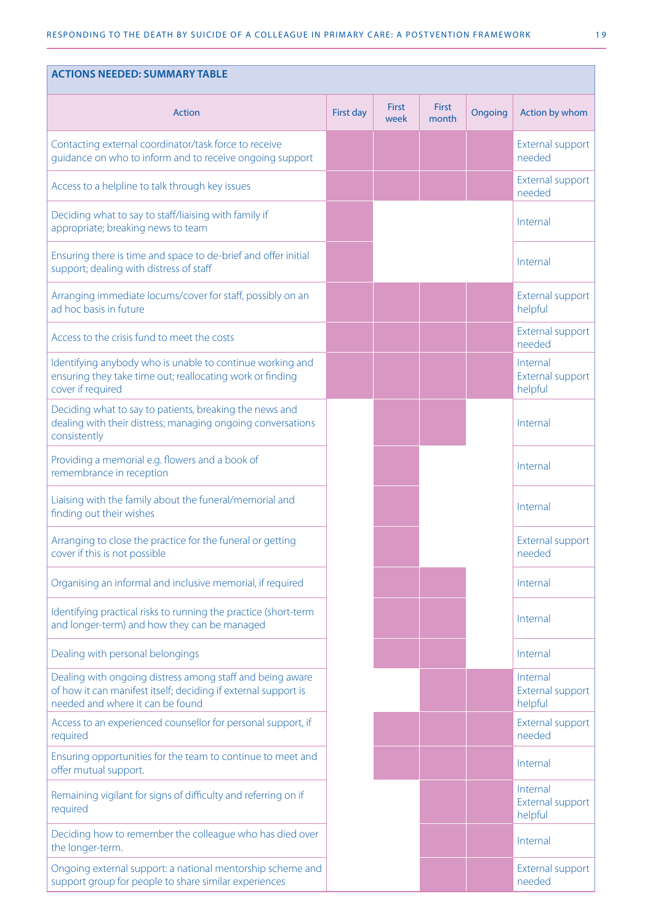| <b>ACTIONS NEEDED: SUMMARY TABLE</b>                                                                                                                            |           |                      |                       |         |                                         |  |  |
|-----------------------------------------------------------------------------------------------------------------------------------------------------------------|-----------|----------------------|-----------------------|---------|-----------------------------------------|--|--|
| <b>Action</b>                                                                                                                                                   | First day | <b>First</b><br>week | <b>First</b><br>month | Ongoing | Action by whom                          |  |  |
| Contacting external coordinator/task force to receive<br>guidance on who to inform and to receive ongoing support                                               |           |                      |                       |         | External support<br>needed              |  |  |
| Access to a helpline to talk through key issues                                                                                                                 |           |                      |                       |         | External support<br>needed              |  |  |
| Deciding what to say to staff/liaising with family if<br>appropriate; breaking news to team                                                                     |           |                      |                       |         | Internal                                |  |  |
| Ensuring there is time and space to de-brief and offer initial<br>support; dealing with distress of staff                                                       |           |                      |                       |         | Internal                                |  |  |
| Arranging immediate locums/cover for staff, possibly on an<br>ad hoc basis in future                                                                            |           |                      |                       |         | External support<br>helpful             |  |  |
| Access to the crisis fund to meet the costs                                                                                                                     |           |                      |                       |         | External support<br>needed              |  |  |
| Identifying anybody who is unable to continue working and<br>ensuring they take time out; reallocating work or finding<br>cover if required                     |           |                      |                       |         | Internal<br>External support<br>helpful |  |  |
| Deciding what to say to patients, breaking the news and<br>dealing with their distress; managing ongoing conversations<br>consistently                          |           |                      |                       |         | Internal                                |  |  |
| Providing a memorial e.g. flowers and a book of<br>remembrance in reception                                                                                     |           |                      |                       |         | Internal                                |  |  |
| Liaising with the family about the funeral/memorial and<br>finding out their wishes                                                                             |           |                      |                       |         | Internal                                |  |  |
| Arranging to close the practice for the funeral or getting<br>cover if this is not possible                                                                     |           |                      |                       |         | External support<br>needed              |  |  |
| Organising an informal and inclusive memorial, if required                                                                                                      |           |                      |                       |         | Internal                                |  |  |
| Identifying practical risks to running the practice (short-term<br>and longer-term) and how they can be managed                                                 |           |                      |                       |         | Internal                                |  |  |
| Dealing with personal belongings                                                                                                                                |           |                      |                       |         | Internal                                |  |  |
| Dealing with ongoing distress among staff and being aware<br>of how it can manifest itself; deciding if external support is<br>needed and where it can be found |           |                      |                       |         | Internal<br>External support<br>helpful |  |  |
| Access to an experienced counsellor for personal support, if<br>required                                                                                        |           |                      |                       |         | External support<br>needed              |  |  |
| Ensuring opportunities for the team to continue to meet and<br>offer mutual support.                                                                            |           |                      |                       |         | Internal                                |  |  |
| Remaining vigilant for signs of difficulty and referring on if<br>required                                                                                      |           |                      |                       |         | Internal<br>External support<br>helpful |  |  |
| Deciding how to remember the colleague who has died over<br>the longer-term.                                                                                    |           |                      |                       |         | Internal                                |  |  |
| Ongoing external support: a national mentorship scheme and<br>support group for people to share similar experiences                                             |           |                      |                       |         | External support<br>needed              |  |  |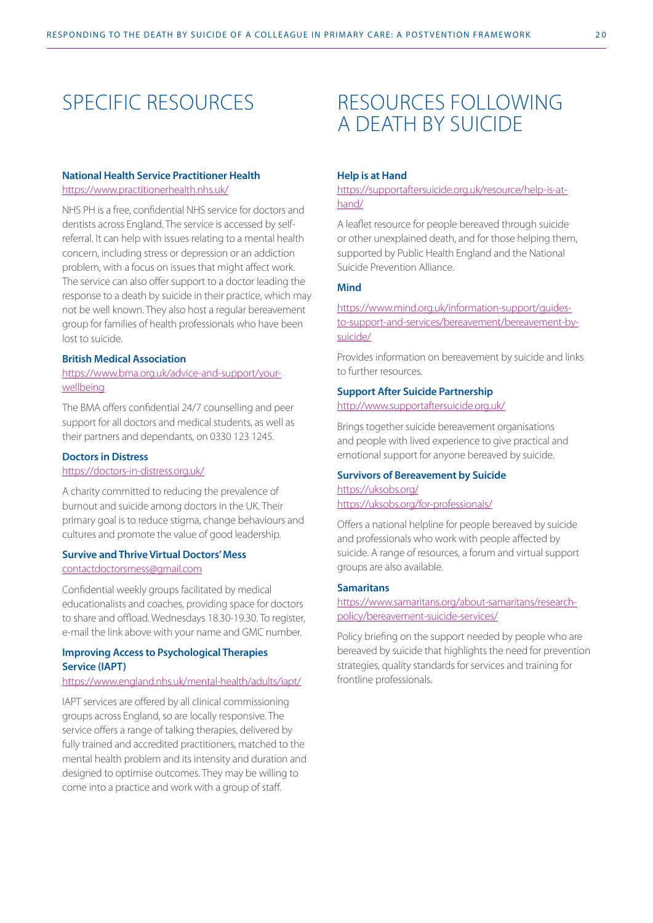## SPECIFIC RESOURCES

#### **National Health Service Practitioner Health**

<https://www.practitionerhealth.nhs.uk/>

NHS PH is a free, confidential NHS service for doctors and dentists across England. The service is accessed by selfreferral. It can help with issues relating to a mental health concern, including stress or depression or an addiction problem, with a focus on issues that might affect work. The service can also offer support to a doctor leading the response to a death by suicide in their practice, which may not be well known. They also host a regular bereavement group for families of health professionals who have been lost to suicide.

#### **British Medical Association**

[https://www.bma.org.uk/advice-and-support/your](https://www.bma.org.uk/advice-and-support/your-wellbeing)[wellbeing](https://www.bma.org.uk/advice-and-support/your-wellbeing)

The BMA offers confidential 24/7 counselling and peer support for all doctors and medical students, as well as their partners and dependants, on 0330 123 1245.

#### **Doctors in Distress**

#### [https://doctors-in-distress.org.uk/](https://doctors-in-distress.org.uk/ )

A charity committed to reducing the prevalence of burnout and suicide among doctors in the UK. Their primary goal is to reduce stigma, change behaviours and cultures and promote the value of good leadership.

#### **Survive and Thrive Virtual Doctors' Mess** [contactdoctorsmess@gmail.com](http://contactdoctorsmess@gmail.com)

Confidential weekly groups facilitated by medical educationalists and coaches, providing space for doctors to share and offload. Wednesdays 18.30-19.30. To register, e-mail the link above with your name and GMC number.

#### **Improving Access to Psychological Therapies Service (IAPT)**

#### <https://www.england.nhs.uk/mental-health/adults/iapt/>

IAPT services are offered by all clinical commissioning groups across England, so are locally responsive. The service offers a range of talking therapies, delivered by fully trained and accredited practitioners, matched to the mental health problem and its intensity and duration and designed to optimise outcomes. They may be willing to come into a practice and work with a group of staff.

## RESOURCES FOLLOWING A DEATH BY SUICIDE

#### **Help is at Hand**

#### [https://supportaftersuicide.org.uk/resource/help-is-at](https://supportaftersuicide.org.uk/resource/help-is-at-hand/ )[hand/](https://supportaftersuicide.org.uk/resource/help-is-at-hand/ )

A leaflet resource for people bereaved through suicide or other unexplained death, and for those helping them, supported by Public Health England and the National Suicide Prevention Alliance.

#### **Mind**

[https://www.mind.org.uk/information-support/guides](https://www.mind.org.uk/information-support/guides-to-support-and-services/bereavement/bereavement-b)[to-support-and-services/bereavement/bereavement-by](https://www.mind.org.uk/information-support/guides-to-support-and-services/bereavement/bereavement-b)[suicide/](https://www.mind.org.uk/information-support/guides-to-support-and-services/bereavement/bereavement-b)

Provides information on bereavement by suicide and links to further resources.

#### **Support After Suicide Partnership**

#### <http://www.supportaftersuicide.org.uk/>

Brings together suicide bereavement organisations and people with lived experience to give practical and emotional support for anyone bereaved by suicide.

#### **Survivors of Bereavement by Suicide** <https://uksobs.org/>

#### <https://uksobs.org/for-professionals/>

Offers a national helpline for people bereaved by suicide and professionals who work with people affected by suicide. A range of resources, a forum and virtual support groups are also available.

#### **Samaritans**

[https://www.samaritans.org/about-samaritans/research](https://www.samaritans.org/about-samaritans/research-policy/bereavement-suicide-services/ )[policy/bereavement-suicide-services/](https://www.samaritans.org/about-samaritans/research-policy/bereavement-suicide-services/ )

Policy briefing on the support needed by people who are bereaved by suicide that highlights the need for prevention strategies, quality standards for services and training for frontline professionals.